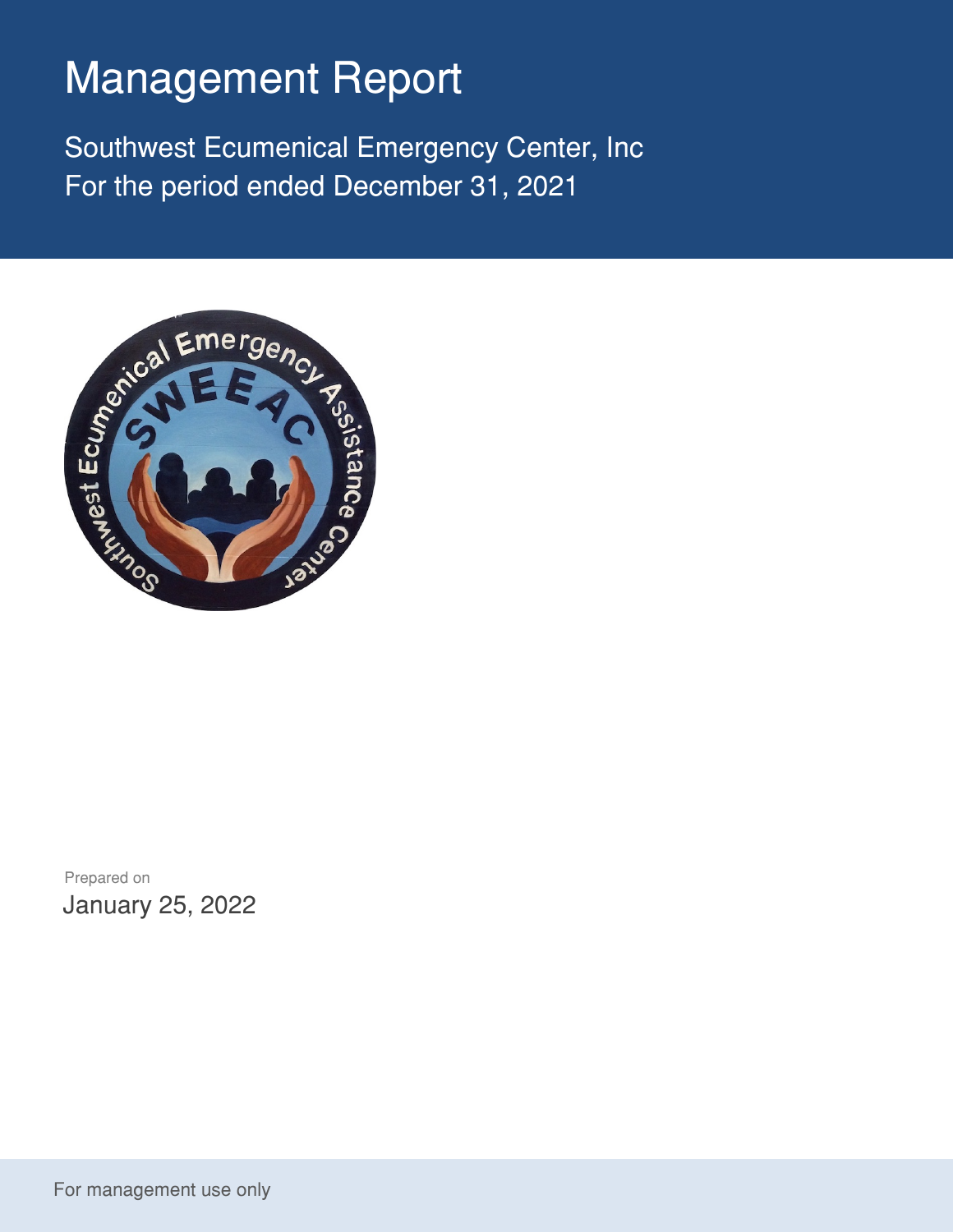## Management Report

Southwest Ecumenical Emergency Center, Inc For the period ended December 31, 2021



Prepared on January 25, 2022

For management use only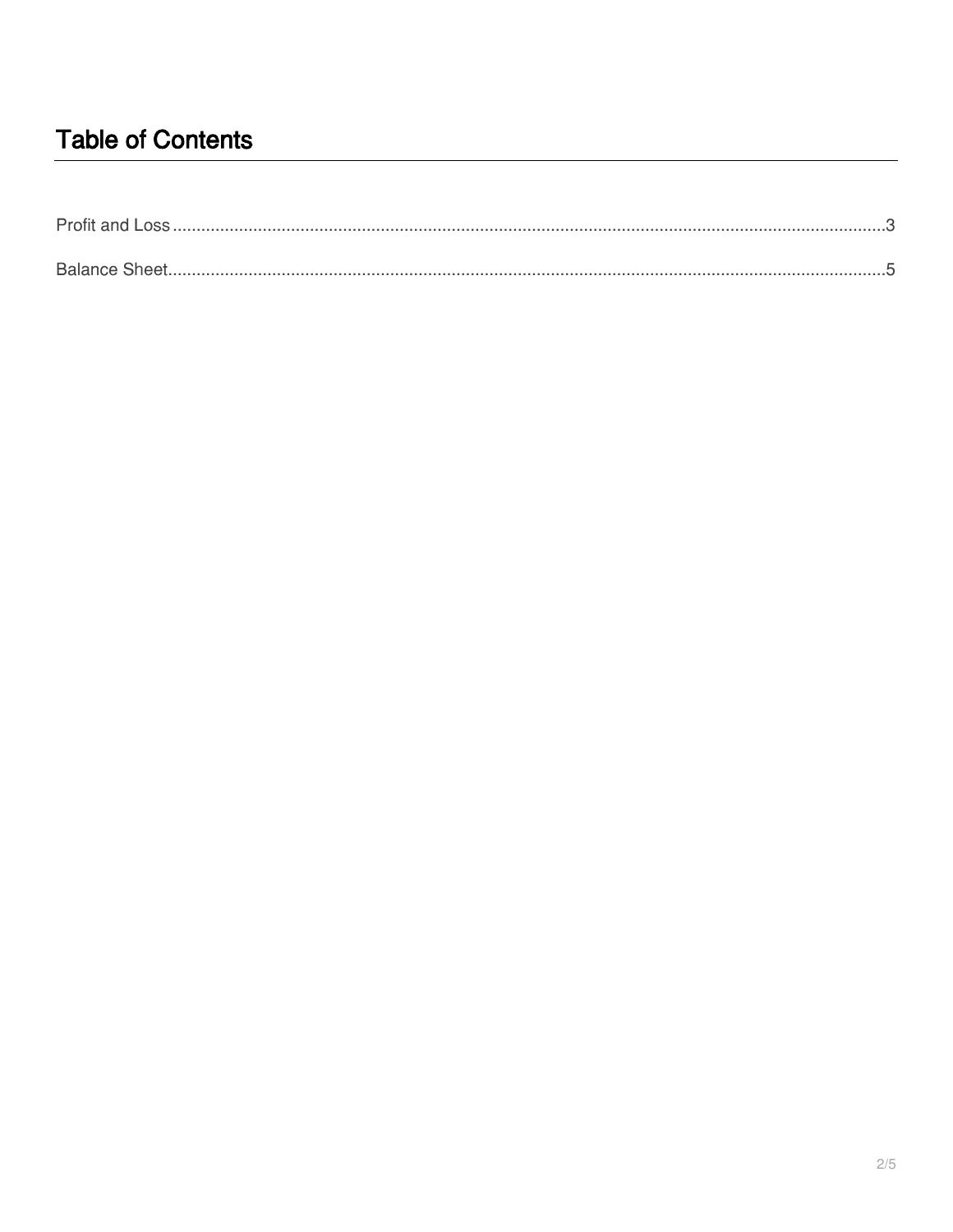## **Table of Contents**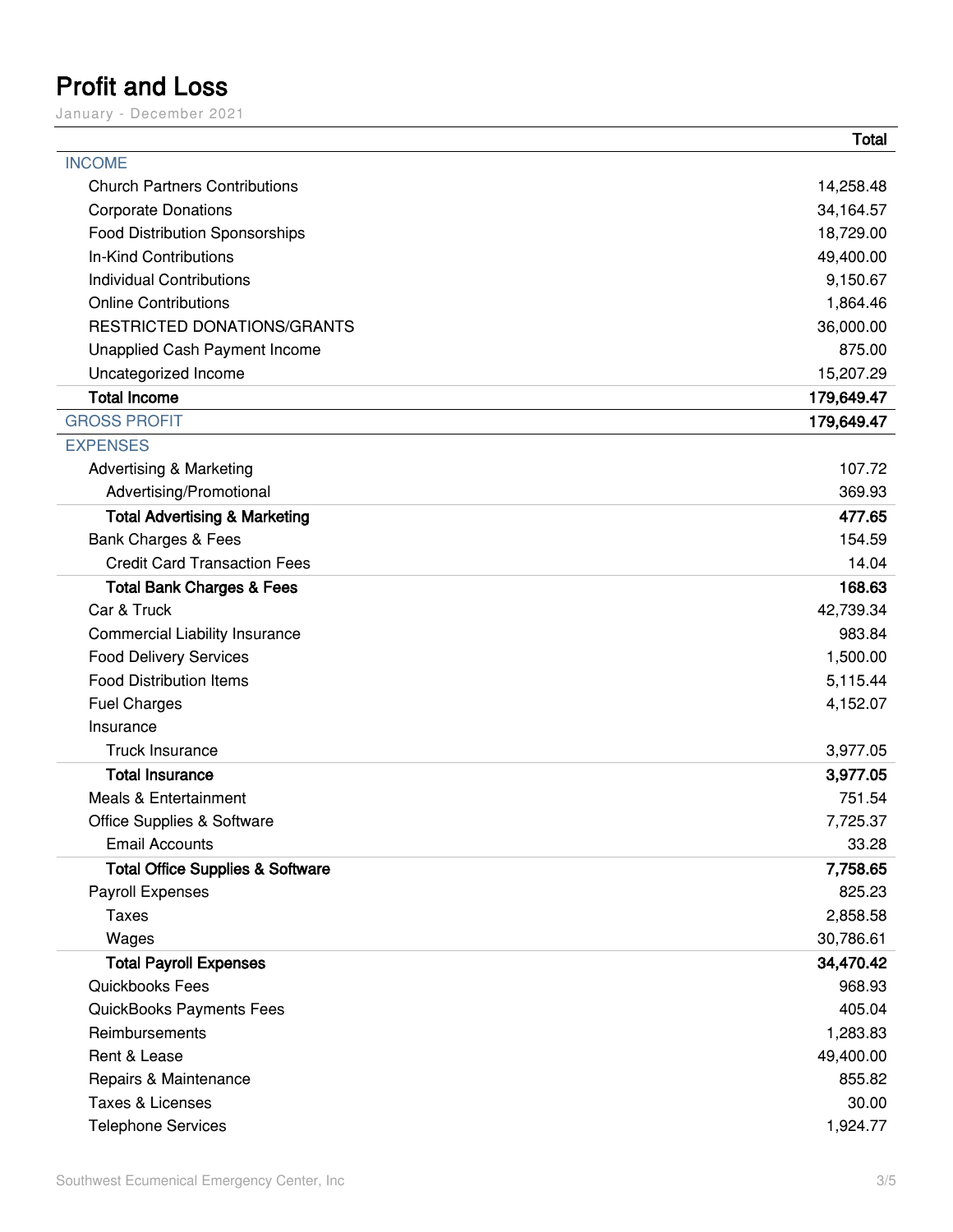## <span id="page-2-0"></span>**Profit and Loss**

January – December 2021

|                                             | <b>Total</b> |
|---------------------------------------------|--------------|
| <b>INCOME</b>                               |              |
| <b>Church Partners Contributions</b>        | 14,258.48    |
| <b>Corporate Donations</b>                  | 34,164.57    |
| <b>Food Distribution Sponsorships</b>       | 18,729.00    |
| In-Kind Contributions                       | 49,400.00    |
| <b>Individual Contributions</b>             | 9,150.67     |
| <b>Online Contributions</b>                 | 1,864.46     |
| <b>RESTRICTED DONATIONS/GRANTS</b>          | 36,000.00    |
| <b>Unapplied Cash Payment Income</b>        | 875.00       |
| Uncategorized Income                        | 15,207.29    |
| <b>Total Income</b>                         | 179,649.47   |
| <b>GROSS PROFIT</b>                         | 179,649.47   |
| <b>EXPENSES</b>                             |              |
| <b>Advertising &amp; Marketing</b>          | 107.72       |
| Advertising/Promotional                     | 369.93       |
| <b>Total Advertising &amp; Marketing</b>    | 477.65       |
| Bank Charges & Fees                         | 154.59       |
| <b>Credit Card Transaction Fees</b>         | 14.04        |
| <b>Total Bank Charges &amp; Fees</b>        | 168.63       |
| Car & Truck                                 | 42,739.34    |
| <b>Commercial Liability Insurance</b>       | 983.84       |
| <b>Food Delivery Services</b>               | 1,500.00     |
| <b>Food Distribution Items</b>              | 5,115.44     |
| <b>Fuel Charges</b>                         | 4,152.07     |
| Insurance                                   |              |
| <b>Truck Insurance</b>                      | 3,977.05     |
| <b>Total Insurance</b>                      | 3,977.05     |
| <b>Meals &amp; Entertainment</b>            | 751.54       |
| <b>Office Supplies &amp; Software</b>       | 7,725.37     |
| <b>Email Accounts</b>                       | 33.28        |
| <b>Total Office Supplies &amp; Software</b> | 7,758.65     |
| Payroll Expenses                            | 825.23       |
| <b>Taxes</b>                                | 2,858.58     |
| Wages                                       | 30,786.61    |
| <b>Total Payroll Expenses</b>               | 34,470.42    |
| Quickbooks Fees                             | 968.93       |
| QuickBooks Payments Fees                    | 405.04       |
| Reimbursements                              | 1,283.83     |
| Rent & Lease                                | 49,400.00    |
| Repairs & Maintenance                       | 855.82       |
| Taxes & Licenses                            | 30.00        |
| <b>Telephone Services</b>                   | 1,924.77     |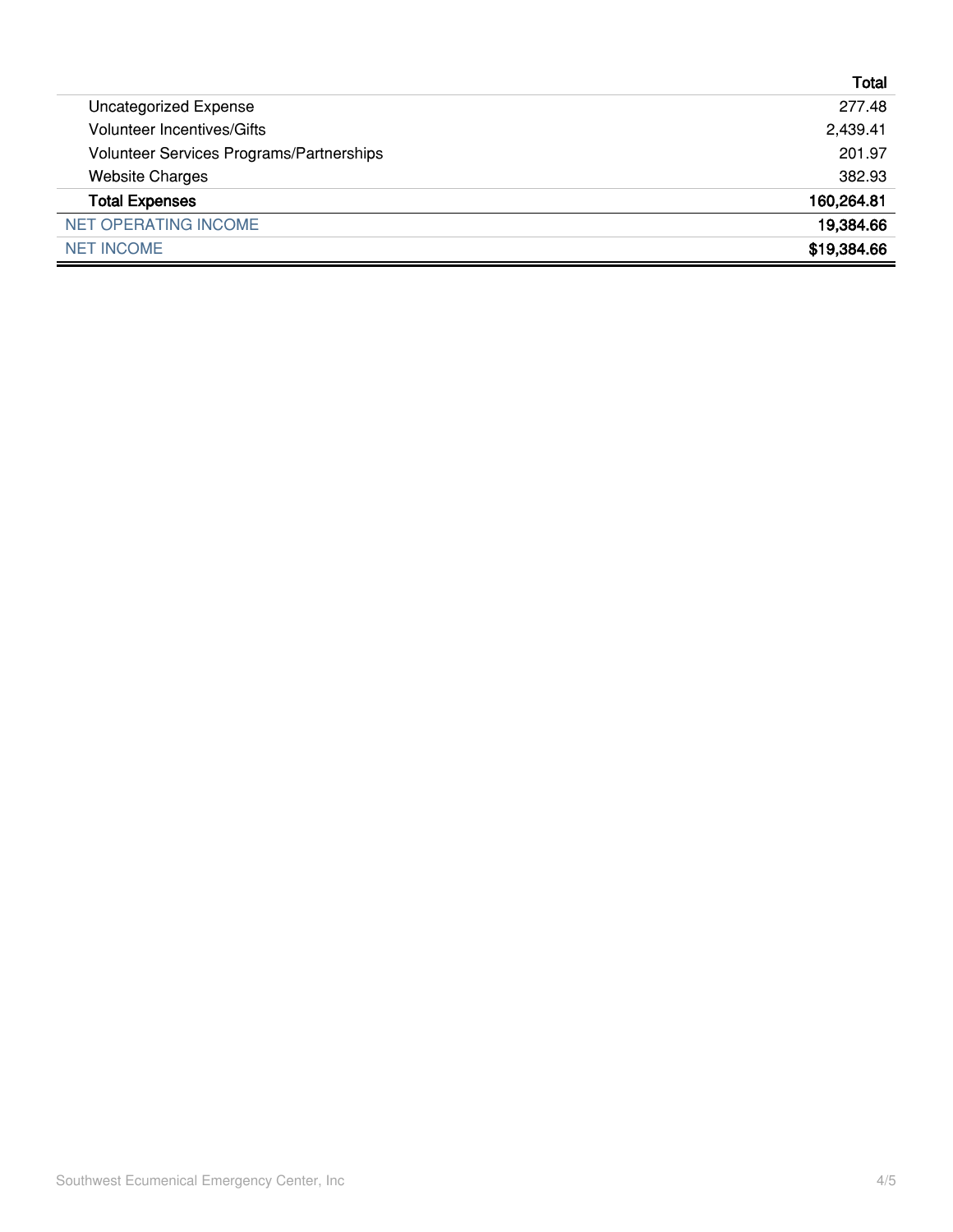|                                          | Total       |
|------------------------------------------|-------------|
| <b>Uncategorized Expense</b>             | 277.48      |
| <b>Volunteer Incentives/Gifts</b>        | 2,439.41    |
| Volunteer Services Programs/Partnerships | 201.97      |
| <b>Website Charges</b>                   | 382.93      |
| <b>Total Expenses</b>                    | 160,264.81  |
| <b>NET OPERATING INCOME</b>              | 19,384.66   |
| <b>NET INCOME</b>                        | \$19,384.66 |